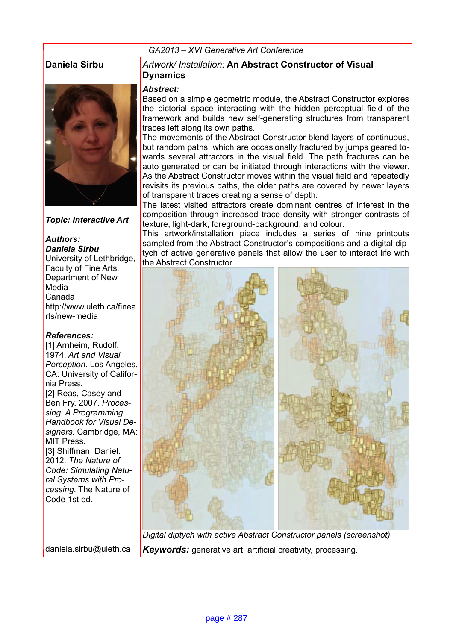#### *GA2013 – XVI Generative Art Conference*



*Topic: Interactive Art*

#### *Authors: Daniela Sirbu*

University of Lethbridge, Faculty of Fine Arts, Department of New Media Canada http://www.uleth.ca/finea rts/new-media

### *References:*

[1] Arnheim, Rudolf. 1974. *Art and Visual Perception*. Los Angeles, CA: University of California Press. [2] Reas, Casey and Ben Fry. 2007. *Processing. A Programming Handbook for Visual Designers.* Cambridge, MA: MIT Press. [3] Shiffman, Daniel. 2012. *The Nature of Code: Simulating Natural Systems with Processing*. The Nature of Code 1st ed.

## **Daniela Sirbu** *Artwork/ Installation:* **An Abstract Constructor of Visual Dynamics**

#### *Abstract:*

Based on a simple geometric module, the Abstract Constructor explores the pictorial space interacting with the hidden perceptual field of the framework and builds new self-generating structures from transparent traces left along its own paths.

The movements of the Abstract Constructor blend layers of continuous, but random paths, which are occasionally fractured by jumps geared towards several attractors in the visual field. The path fractures can be auto generated or can be initiated through interactions with the viewer. As the Abstract Constructor moves within the visual field and repeatedly revisits its previous paths, the older paths are covered by newer layers of transparent traces creating a sense of depth.

The latest visited attractors create dominant centres of interest in the composition through increased trace density with stronger contrasts of texture, light-dark, foreground-background, and colour.

This artwork/installation piece includes a series of nine printouts sampled from the Abstract Constructor's compositions and a digital diptych of active generative panels that allow the user to interact life with the Abstract Constructor.



*Digital diptych with active Abstract Constructor panels (screenshot)* daniela.sirbu@uleth.ca *Keywords:* generative art, artificial creativity, processing.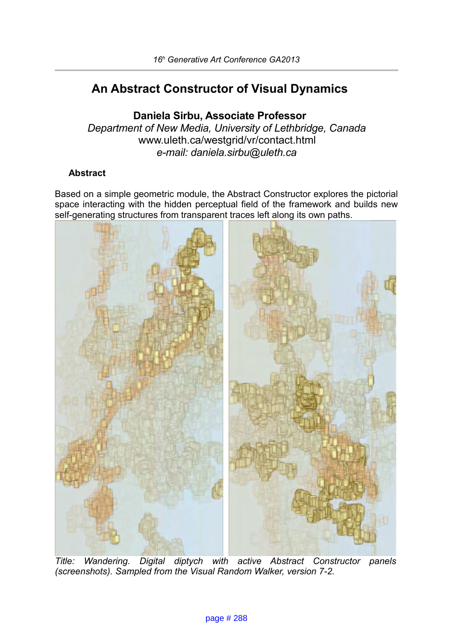# **An Abstract Constructor of Visual Dynamics**

# **Daniela Sirbu, Associate Professor**

*Department of New Media, University of Lethbridge, Canada* www.uleth.ca/westgrid/vr/contact.html *e-mail: daniela.sirbu@uleth.ca*

# **Abstract**

Based on a simple geometric module, the Abstract Constructor explores the pictorial space interacting with the hidden perceptual field of the framework and builds new self-generating structures from transparent traces left along its own paths.



*Title: Wandering. Digital diptych with active Abstract Constructor panels (screenshots). Sampled from the Visual Random Walker, version 7-2.*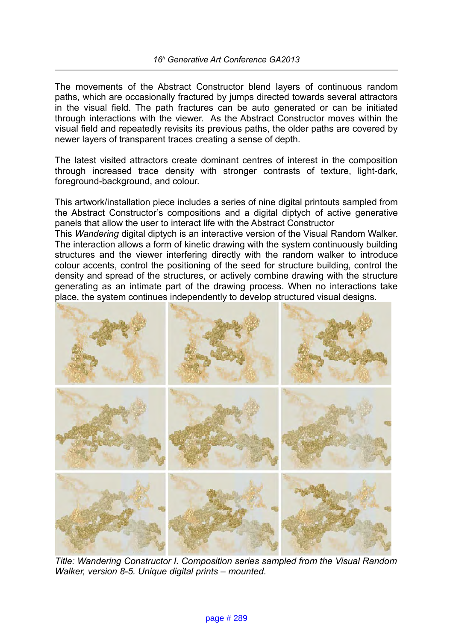The movements of the Abstract Constructor blend layers of continuous random paths, which are occasionally fractured by jumps directed towards several attractors in the visual field. The path fractures can be auto generated or can be initiated through interactions with the viewer. As the Abstract Constructor moves within the visual field and repeatedly revisits its previous paths, the older paths are covered by newer layers of transparent traces creating a sense of depth.

The latest visited attractors create dominant centres of interest in the composition through increased trace density with stronger contrasts of texture, light-dark, foreground-background, and colour.

This artwork/installation piece includes a series of nine digital printouts sampled from the Abstract Constructor's compositions and a digital diptych of active generative panels that allow the user to interact life with the Abstract Constructor

This *Wandering* digital diptych is an interactive version of the Visual Random Walker. The interaction allows a form of kinetic drawing with the system continuously building structures and the viewer interfering directly with the random walker to introduce colour accents, control the positioning of the seed for structure building, control the density and spread of the structures, or actively combine drawing with the structure generating as an intimate part of the drawing process. When no interactions take place, the system continues independently to develop structured visual designs.



*Title: Wandering Constructor I. Composition series sampled from the Visual Random Walker, version 8-5. Unique digital prints – mounted.*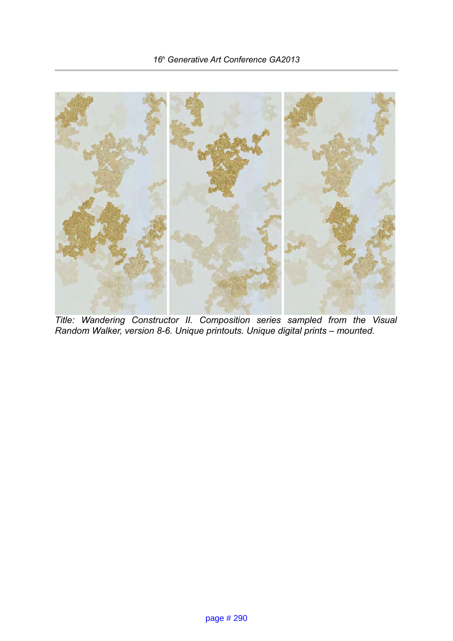

*Title: Wandering Constructor II. Composition series sampled from the Visual Random Walker, version 8-6. Unique printouts. Unique digital prints – mounted.*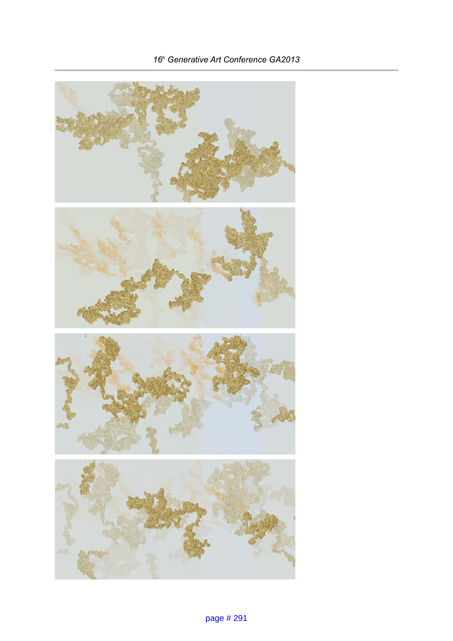